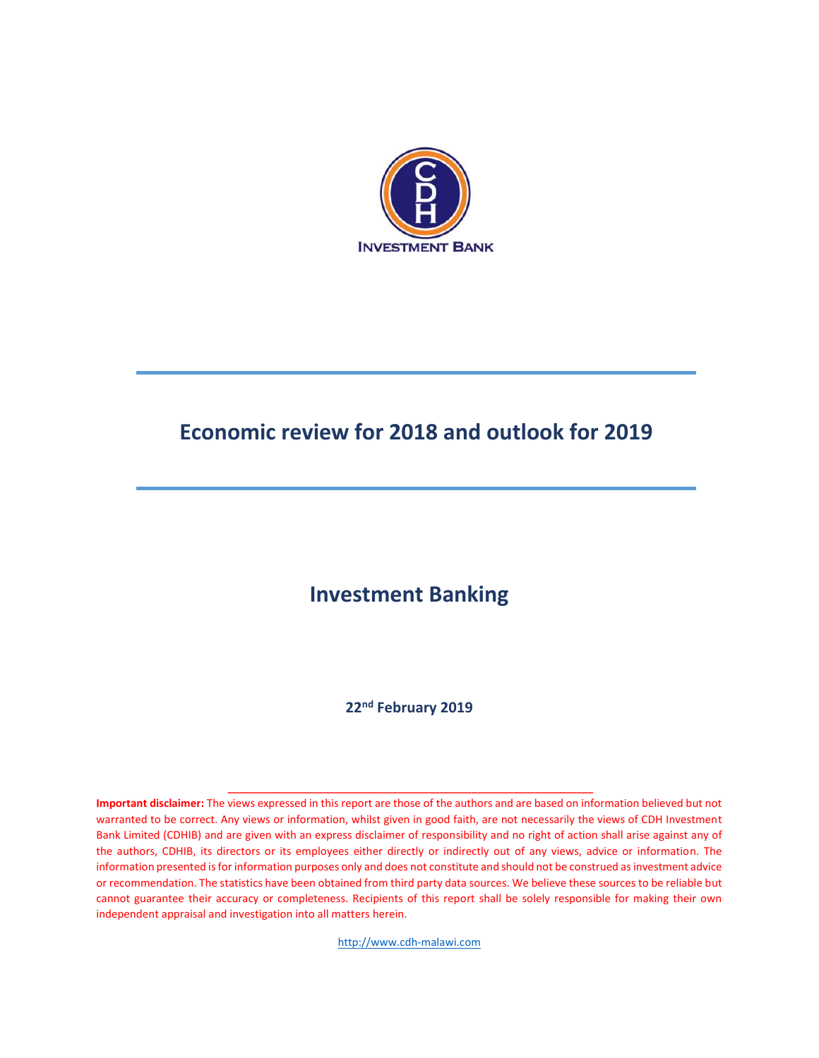

# **Economic review for 2018 and outlook for 2019**

### **Investment Banking**

**22nd February 2019**

**Important disclaimer:** The views expressed in this report are those of the authors and are based on information believed but not warranted to be correct. Any views or information, whilst given in good faith, are not necessarily the views of CDH Investment Bank Limited (CDHIB) and are given with an express disclaimer of responsibility and no right of action shall arise against any of the authors, CDHIB, its directors or its employees either directly or indirectly out of any views, advice or information. The information presented isfor information purposes only and does not constitute and should not be construed as investment advice or recommendation. The statistics have been obtained from third party data sources. We believe these sources to be reliable but cannot guarantee their accuracy or completeness. Recipients of this report shall be solely responsible for making their own independent appraisal and investigation into all matters herein.

**\_\_\_\_\_\_\_\_\_\_\_\_\_\_\_\_\_\_\_\_\_\_\_\_\_\_\_\_\_\_\_\_\_\_\_\_\_\_\_\_\_\_\_\_\_\_\_\_\_\_\_\_\_\_\_\_\_\_\_\_\_\_\_\_\_\_\_\_\_** 

[http://www.cdh-malawi.com](http://www.cdh-malawi.com/)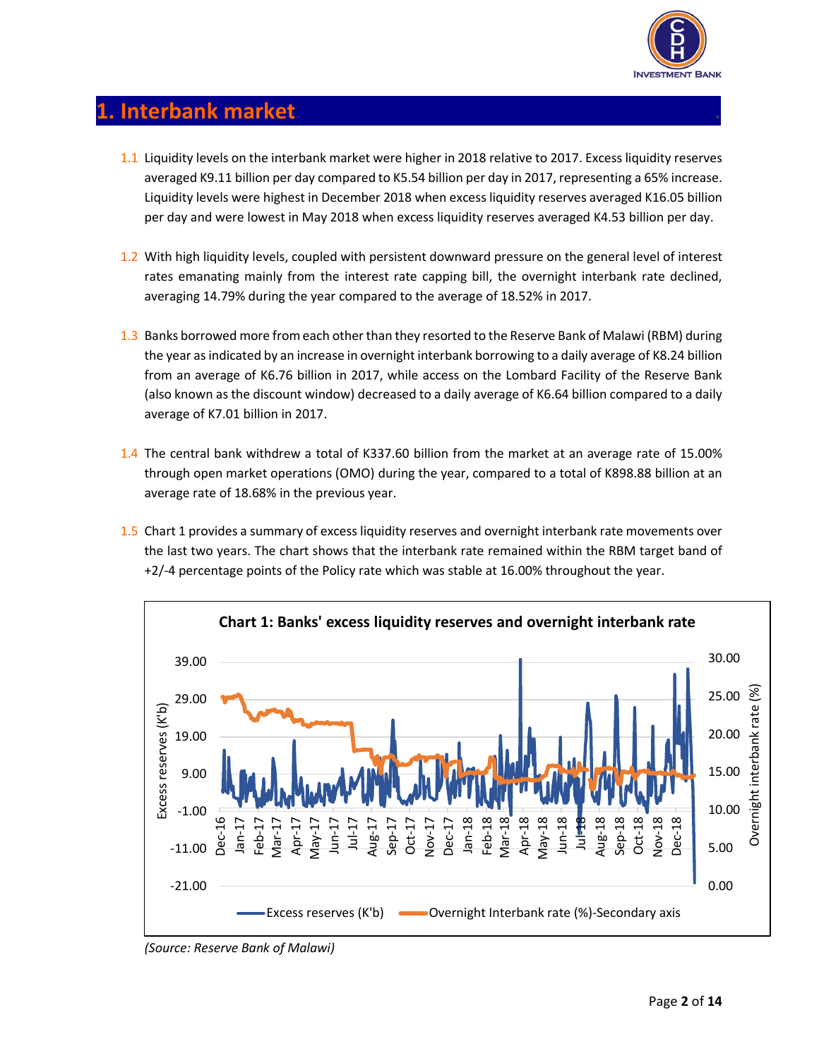

#### **1. Interbank market .**

- 1.1 Liquidity levels on the interbank market were higher in 2018 relative to 2017. Excess liquidity reserves averaged K9.11 billion per day compared to K5.54 billion per day in 2017, representing a 65% increase. Liquidity levels were highest in December 2018 when excess liquidity reserves averaged K16.05 billion per day and were lowest in May 2018 when excess liquidity reserves averaged K4.53 billion per day.
- 1.2 With high liquidity levels, coupled with persistent downward pressure on the general level of interest rates emanating mainly from the interest rate capping bill, the overnight interbank rate declined, averaging 14.79% during the year compared to the average of 18.52% in 2017.
- 1.3 Banks borrowed more from each other than they resorted to the Reserve Bank of Malawi (RBM) during the year as indicated by an increase in overnight interbank borrowing to a daily average of K8.24 billion from an average of K6.76 billion in 2017, while access on the Lombard Facility of the Reserve Bank (also known as the discount window) decreased to a daily average of K6.64 billion compared to a daily average of K7.01 billion in 2017.
- 1.4 The central bank withdrew a total of K337.60 billion from the market at an average rate of 15.00% through open market operations (OMO) during the year, compared to a total of K898.88 billion at an average rate of 18.68% in the previous year.
- 1.5 Chart 1 provides a summary of excess liquidity reserves and overnight interbank rate movements over the last two years. The chart shows that the interbank rate remained within the RBM target band of +2/-4 percentage points of the Policy rate which was stable at 16.00% throughout the year.



*(Source: Reserve Bank of Malawi)*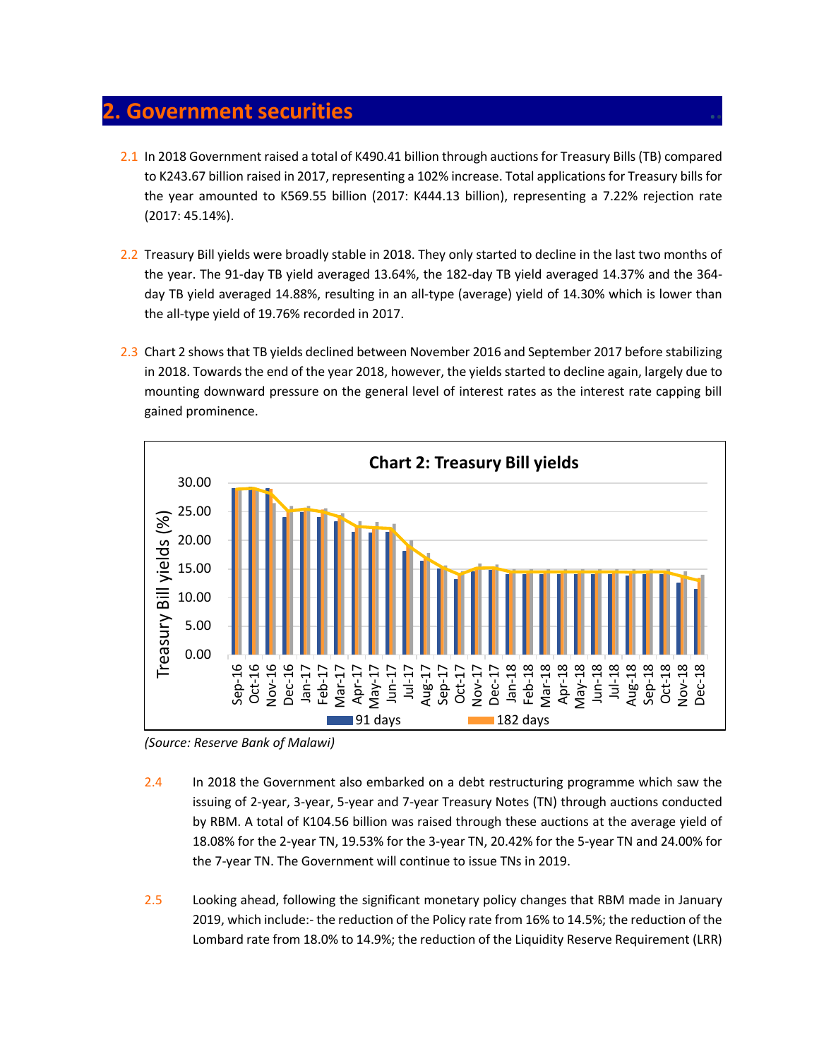#### **2. Government securities ..**

- 2.1 In 2018 Government raised a total of K490.41 billion through auctions for Treasury Bills(TB) compared to K243.67 billion raised in 2017, representing a 102% increase. Total applications for Treasury bills for the year amounted to K569.55 billion (2017: K444.13 billion), representing a 7.22% rejection rate (2017: 45.14%).
- 2.2 Treasury Bill yields were broadly stable in 2018. They only started to decline in the last two months of the year. The 91-day TB yield averaged 13.64%, the 182-day TB yield averaged 14.37% and the 364 day TB yield averaged 14.88%, resulting in an all-type (average) yield of 14.30% which is lower than the all-type yield of 19.76% recorded in 2017.
- 2.3 Chart 2 shows that TB yields declined between November 2016 and September 2017 before stabilizing in 2018. Towards the end of the year 2018, however, the yields started to decline again, largely due to mounting downward pressure on the general level of interest rates as the interest rate capping bill gained prominence.



*(Source: Reserve Bank of Malawi)*

- 2.4 In 2018 the Government also embarked on a debt restructuring programme which saw the issuing of 2-year, 3-year, 5-year and 7-year Treasury Notes (TN) through auctions conducted by RBM. A total of K104.56 billion was raised through these auctions at the average yield of 18.08% for the 2-year TN, 19.53% for the 3-year TN, 20.42% for the 5-year TN and 24.00% for the 7-year TN. The Government will continue to issue TNs in 2019.
- 2.5 Looking ahead, following the significant monetary policy changes that RBM made in January 2019, which include:- the reduction of the Policy rate from 16% to 14.5%; the reduction of the Lombard rate from 18.0% to 14.9%; the reduction of the Liquidity Reserve Requirement (LRR)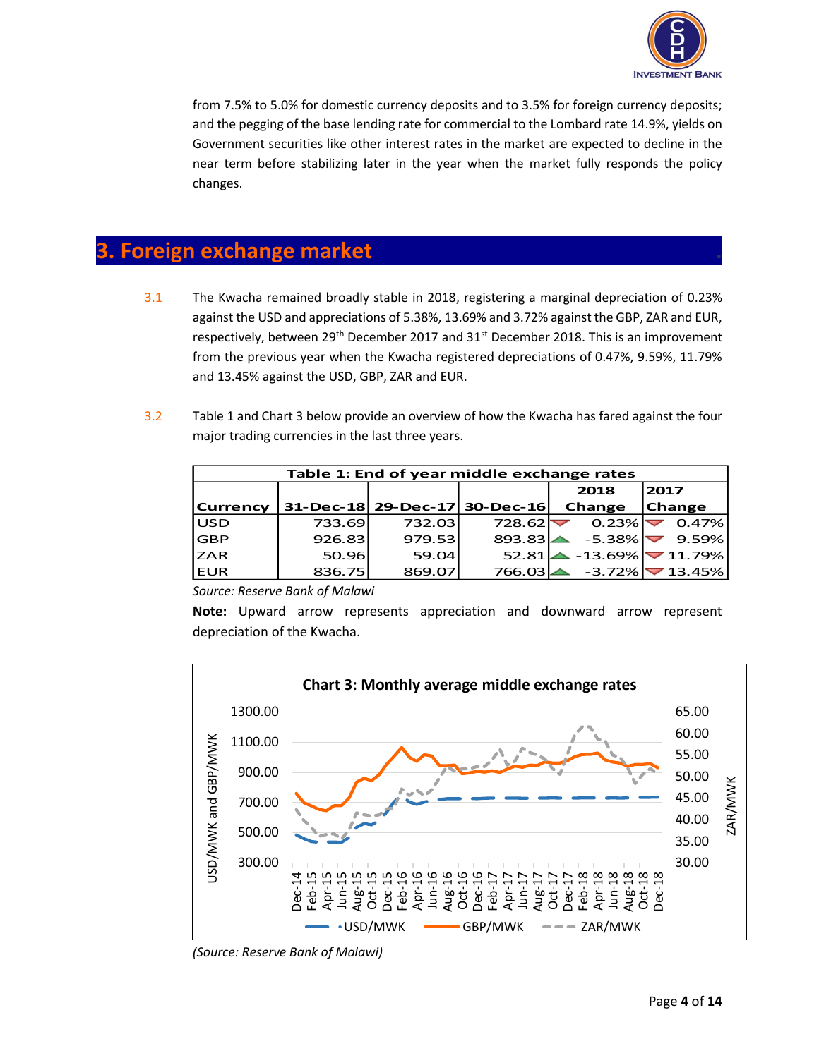

from 7.5% to 5.0% for domestic currency deposits and to 3.5% for foreign currency deposits; and the pegging of the base lending rate for commercial to the Lombard rate 14.9%, yields on Government securities like other interest rates in the market are expected to decline in the near term before stabilizing later in the year when the market fully responds the policy changes.

## **3. Foreign exchange market .**

- 3.1 The Kwacha remained broadly stable in 2018, registering a marginal depreciation of 0.23% against the USD and appreciations of 5.38%, 13.69% and 3.72% against the GBP, ZAR and EUR, respectively, between 29<sup>th</sup> December 2017 and 31<sup>st</sup> December 2018. This is an improvement from the previous year when the Kwacha registered depreciations of 0.47%, 9.59%, 11.79% and 13.45% against the USD, GBP, ZAR and EUR.
- 3.2 Table 1 and Chart 3 below provide an overview of how the Kwacha has fared against the four major trading currencies in the last three years.

| Table 1: End of year middle exchange rates |        |        |                               |          |                                  |  |
|--------------------------------------------|--------|--------|-------------------------------|----------|----------------------------------|--|
|                                            |        |        |                               | 2018     | 2017                             |  |
| <b>Currency</b>                            |        |        | 31-Dec-18 29-Dec-17 30-Dec-16 | Change   | <b>Change</b>                    |  |
| <b>USD</b>                                 | 733.69 | 732.03 | 728.62                        | 0.23%    | 0.47%                            |  |
| <b>GBP</b>                                 | 926.83 | 979.53 | 893.83                        | $-5.38%$ | $9.59\%$                         |  |
| <b>ZAR</b>                                 | 50.96  | 59.04  | 52.81                         |          | - 13.69% マ 11.79% →              |  |
| <b>EUR</b>                                 | 836.75 | 869.07 | 766.03                        |          | $-3.72\%$ $\triangledown$ 13.45% |  |

*Source: Reserve Bank of Malawi*

**Note:** Upward arrow represents appreciation and downward arrow represent depreciation of the Kwacha.



*(Source: Reserve Bank of Malawi)*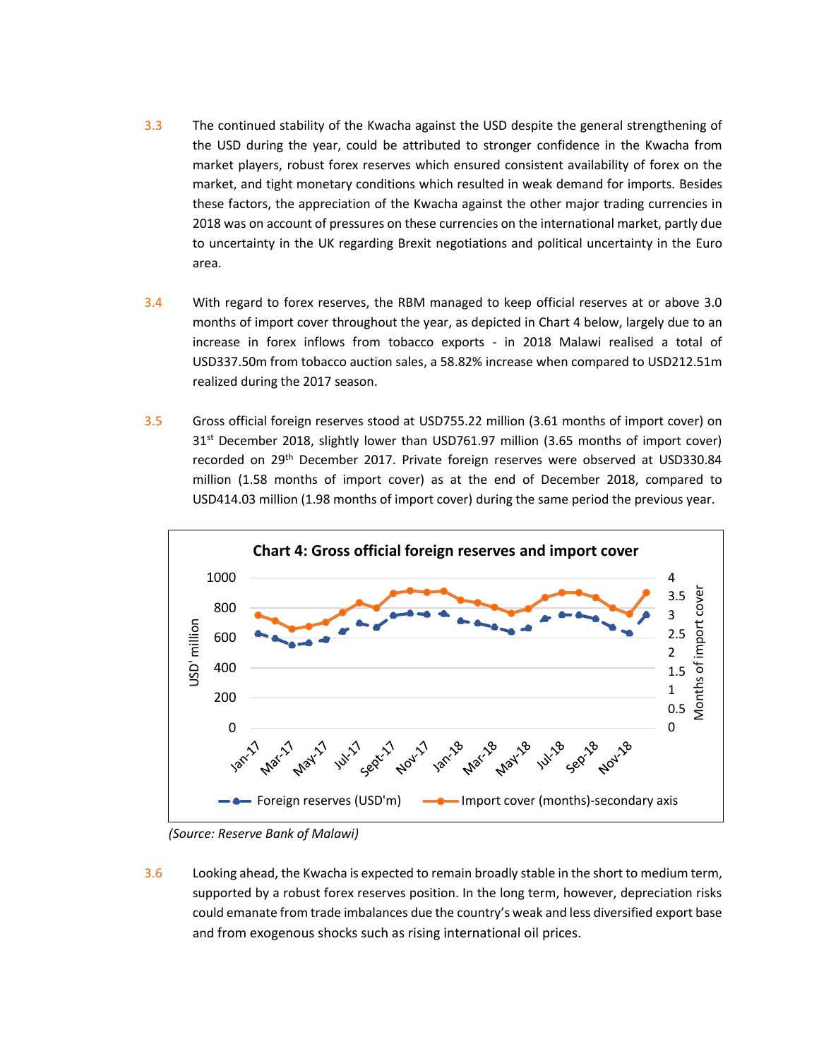- 3.3 The continued stability of the Kwacha against the USD despite the general strengthening of the USD during the year, could be attributed to stronger confidence in the Kwacha from market players, robust forex reserves which ensured consistent availability of forex on the market, and tight monetary conditions which resulted in weak demand for imports. Besides these factors, the appreciation of the Kwacha against the other major trading currencies in 2018 was on account of pressures on these currencies on the international market, partly due to uncertainty in the UK regarding Brexit negotiations and political uncertainty in the Euro area.
- 3.4 With regard to forex reserves, the RBM managed to keep official reserves at or above 3.0 months of import cover throughout the year, as depicted in Chart 4 below, largely due to an increase in forex inflows from tobacco exports - in 2018 Malawi realised a total of USD337.50m from tobacco auction sales, a 58.82% increase when compared to USD212.51m realized during the 2017 season.
- 3.5 Gross official foreign reserves stood at USD755.22 million (3.61 months of import cover) on 31<sup>st</sup> December 2018, slightly lower than USD761.97 million (3.65 months of import cover) recorded on 29th December 2017. Private foreign reserves were observed at USD330.84 million (1.58 months of import cover) as at the end of December 2018, compared to USD414.03 million (1.98 months of import cover) during the same period the previous year.



*(Source: Reserve Bank of Malawi)*

3.6 Looking ahead, the Kwacha is expected to remain broadly stable in the short to medium term, supported by a robust forex reserves position. In the long term, however, depreciation risks could emanate from trade imbalances due the country's weak and less diversified export base and from exogenous shocks such as rising international oil prices.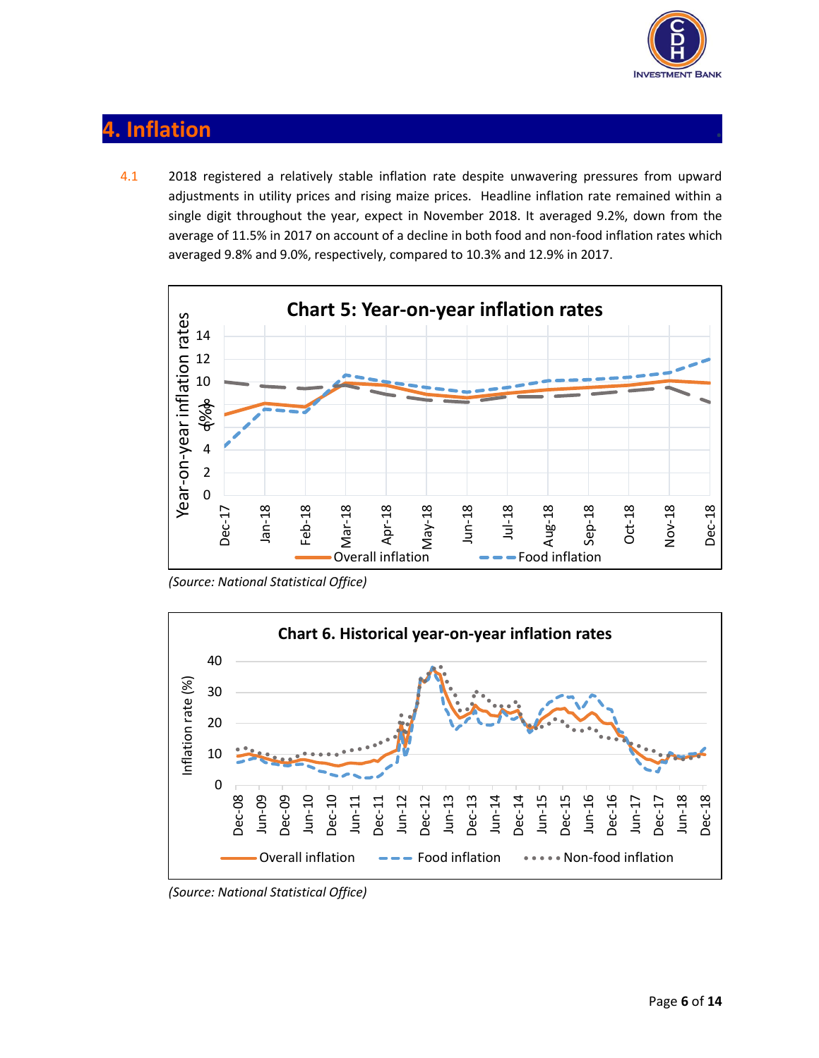

# **4. Inflation .**

4.1 2018 registered a relatively stable inflation rate despite unwavering pressures from upward adjustments in utility prices and rising maize prices. Headline inflation rate remained within a single digit throughout the year, expect in November 2018. It averaged 9.2%, down from the average of 11.5% in 2017 on account of a decline in both food and non-food inflation rates which averaged 9.8% and 9.0%, respectively, compared to 10.3% and 12.9% in 2017.



*(Source: National Statistical Office)*



*(Source: National Statistical Office)*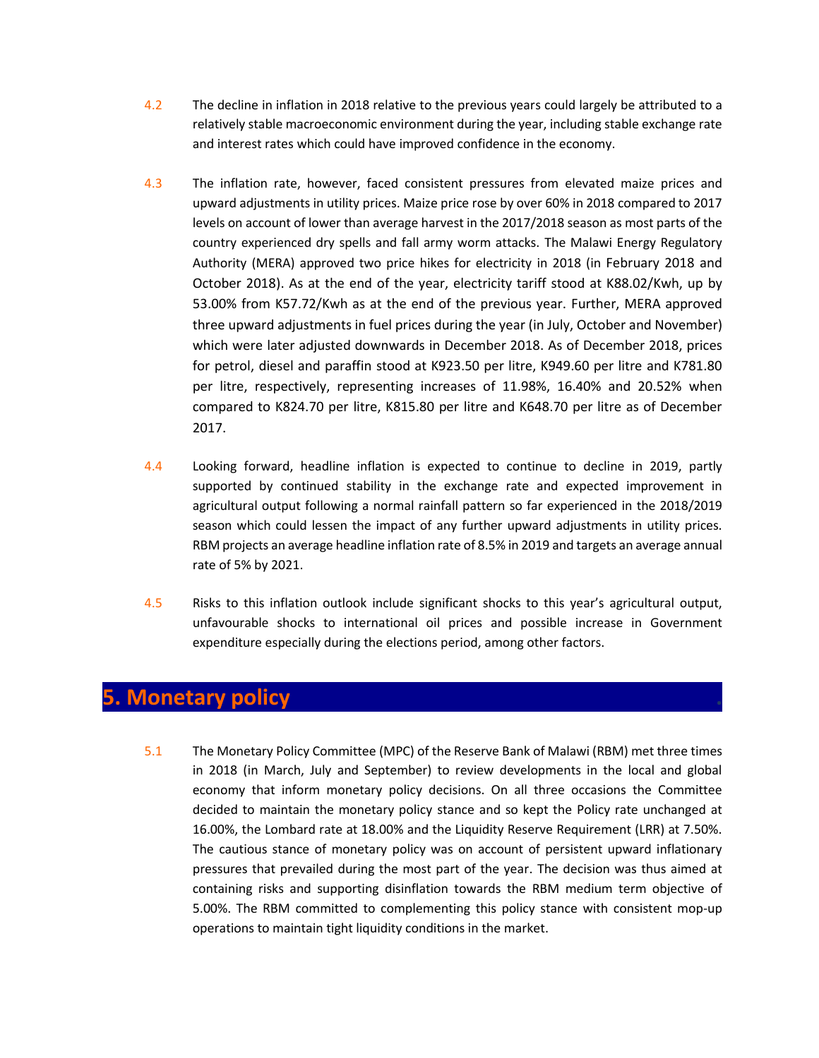- 4.2 The decline in inflation in 2018 relative to the previous years could largely be attributed to a relatively stable macroeconomic environment during the year, including stable exchange rate and interest rates which could have improved confidence in the economy.
- 4.3 The inflation rate, however, faced consistent pressures from elevated maize prices and upward adjustments in utility prices. Maize price rose by over 60% in 2018 compared to 2017 levels on account of lower than average harvest in the 2017/2018 season as most parts of the country experienced dry spells and fall army worm attacks. The Malawi Energy Regulatory Authority (MERA) approved two price hikes for electricity in 2018 (in February 2018 and October 2018). As at the end of the year, electricity tariff stood at K88.02/Kwh, up by 53.00% from K57.72/Kwh as at the end of the previous year. Further, MERA approved three upward adjustments in fuel prices during the year (in July, October and November) which were later adjusted downwards in December 2018. As of December 2018, prices for petrol, diesel and paraffin stood at K923.50 per litre, K949.60 per litre and K781.80 per litre, respectively, representing increases of 11.98%, 16.40% and 20.52% when compared to K824.70 per litre, K815.80 per litre and K648.70 per litre as of December 2017.
- 4.4 Looking forward, headline inflation is expected to continue to decline in 2019, partly supported by continued stability in the exchange rate and expected improvement in agricultural output following a normal rainfall pattern so far experienced in the 2018/2019 season which could lessen the impact of any further upward adjustments in utility prices. RBM projects an average headline inflation rate of 8.5% in 2019 and targets an average annual rate of 5% by 2021.
- 4.5 Risks to this inflation outlook include significant shocks to this year's agricultural output, unfavourable shocks to international oil prices and possible increase in Government expenditure especially during the elections period, among other factors.

## **5. Monetary policy .**

5.1 The Monetary Policy Committee (MPC) of the Reserve Bank of Malawi (RBM) met three times in 2018 (in March, July and September) to review developments in the local and global economy that inform monetary policy decisions. On all three occasions the Committee decided to maintain the monetary policy stance and so kept the Policy rate unchanged at 16.00%, the Lombard rate at 18.00% and the Liquidity Reserve Requirement (LRR) at 7.50%. The cautious stance of monetary policy was on account of persistent upward inflationary pressures that prevailed during the most part of the year. The decision was thus aimed at containing risks and supporting disinflation towards the RBM medium term objective of 5.00%. The RBM committed to complementing this policy stance with consistent mop-up operations to maintain tight liquidity conditions in the market.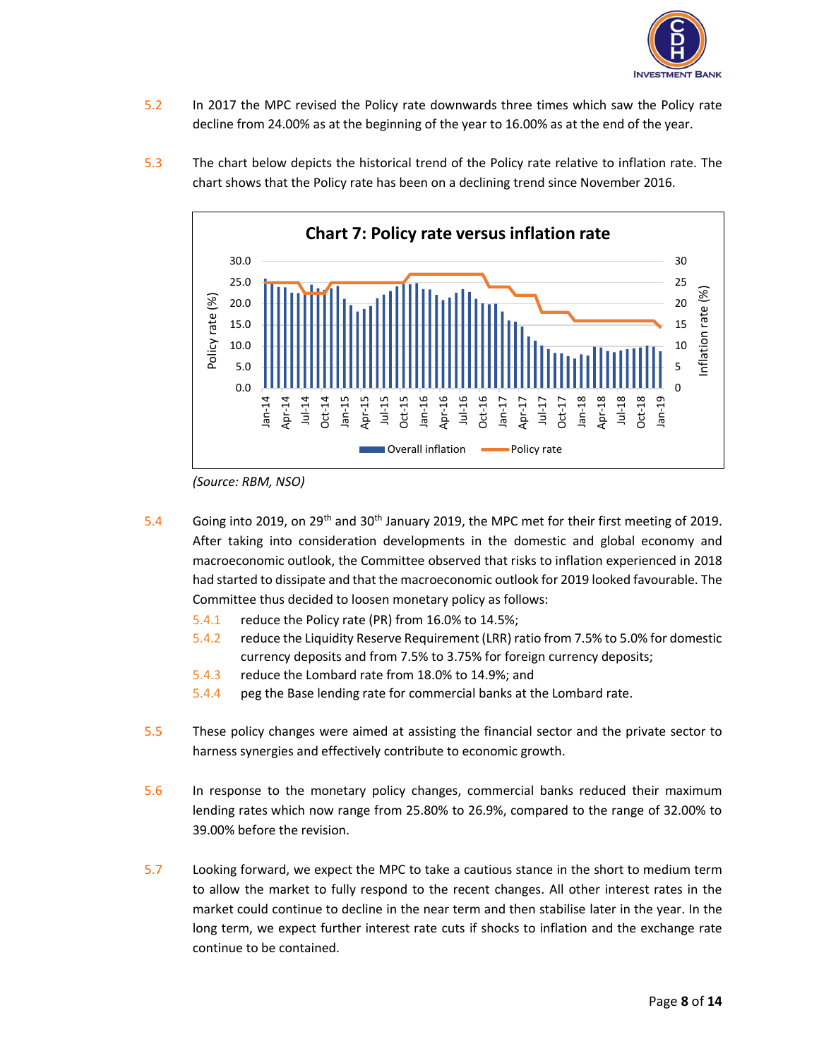

- 5.2 In 2017 the MPC revised the Policy rate downwards three times which saw the Policy rate decline from 24.00% as at the beginning of the year to 16.00% as at the end of the year.
- 5.3 The chart below depicts the historical trend of the Policy rate relative to inflation rate. The chart shows that the Policy rate has been on a declining trend since November 2016.



*<sup>(</sup>Source: RBM, NSO)*

- 5.4 Going into 2019, on 29th and 30th January 2019, the MPC met for their first meeting of 2019. After taking into consideration developments in the domestic and global economy and macroeconomic outlook, the Committee observed that risks to inflation experienced in 2018 had started to dissipate and that the macroeconomic outlook for 2019 looked favourable. The Committee thus decided to loosen monetary policy as follows:
	- 5.4.1 reduce the Policy rate (PR) from 16.0% to 14.5%;
	- 5.4.2 reduce the Liquidity Reserve Requirement (LRR) ratio from 7.5% to 5.0% for domestic currency deposits and from 7.5% to 3.75% for foreign currency deposits;
	- 5.4.3 reduce the Lombard rate from 18.0% to 14.9%; and
	- 5.4.4 peg the Base lending rate for commercial banks at the Lombard rate.
- 5.5 These policy changes were aimed at assisting the financial sector and the private sector to harness synergies and effectively contribute to economic growth.
- 5.6 In response to the monetary policy changes, commercial banks reduced their maximum lending rates which now range from 25.80% to 26.9%, compared to the range of 32.00% to 39.00% before the revision.
- 5.7 Looking forward, we expect the MPC to take a cautious stance in the short to medium term to allow the market to fully respond to the recent changes. All other interest rates in the market could continue to decline in the near term and then stabilise later in the year. In the long term, we expect further interest rate cuts if shocks to inflation and the exchange rate continue to be contained.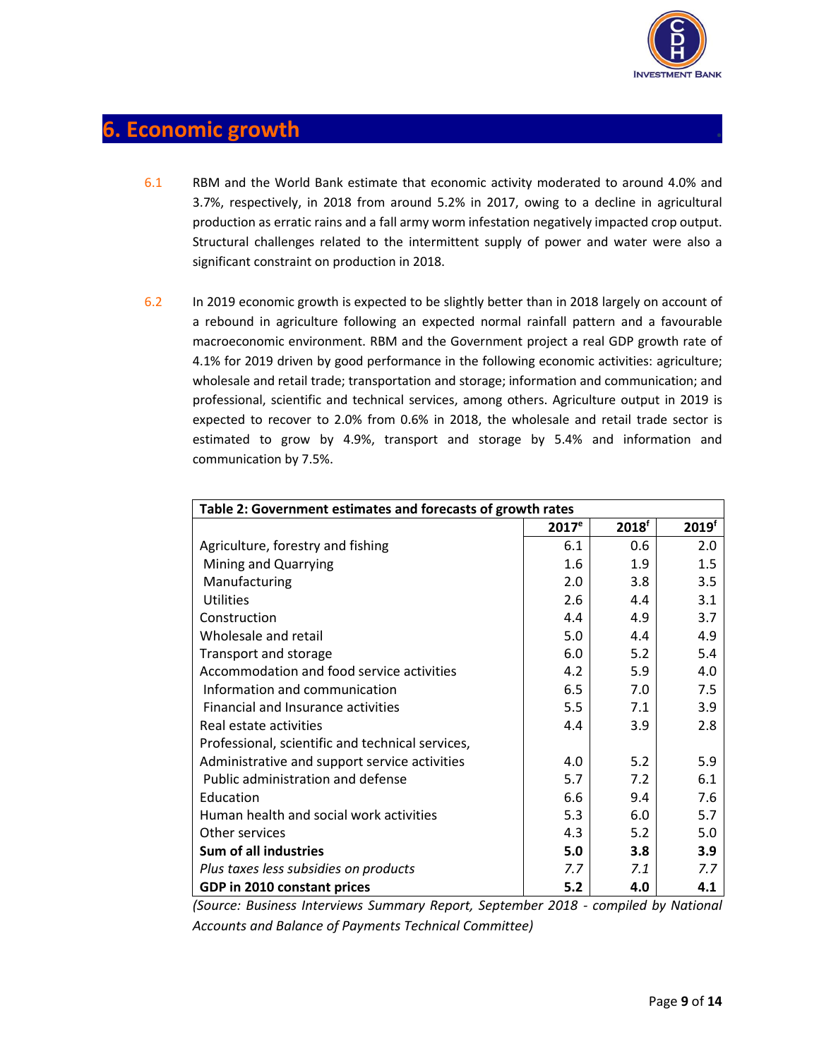

## **6. Economic growth .**

- 6.1 RBM and the World Bank estimate that economic activity moderated to around 4.0% and 3.7%, respectively, in 2018 from around 5.2% in 2017, owing to a decline in agricultural production as erratic rains and a fall army worm infestation negatively impacted crop output. Structural challenges related to the intermittent supply of power and water were also a significant constraint on production in 2018.
- 6.2 In 2019 economic growth is expected to be slightly better than in 2018 largely on account of a rebound in agriculture following an expected normal rainfall pattern and a favourable macroeconomic environment. RBM and the Government project a real GDP growth rate of 4.1% for 2019 driven by good performance in the following economic activities: agriculture; wholesale and retail trade; transportation and storage; information and communication; and professional, scientific and technical services, among others. Agriculture output in 2019 is expected to recover to 2.0% from 0.6% in 2018, the wholesale and retail trade sector is estimated to grow by 4.9%, transport and storage by 5.4% and information and communication by 7.5%.

| Table 2: Government estimates and forecasts of growth rates |                   |                   |                   |
|-------------------------------------------------------------|-------------------|-------------------|-------------------|
|                                                             | 2017 <sup>e</sup> | 2018 <sup>f</sup> | 2019 <sup>f</sup> |
| Agriculture, forestry and fishing                           | 6.1               | 0.6               | 2.0               |
| Mining and Quarrying                                        | 1.6               | 1.9               | 1.5               |
| Manufacturing                                               | 2.0               | 3.8               | 3.5               |
| <b>Utilities</b>                                            | 2.6               | 4.4               | 3.1               |
| Construction                                                | 4.4               | 4.9               | 3.7               |
| Wholesale and retail                                        | 5.0               | 4.4               | 4.9               |
| Transport and storage                                       | 6.0               | 5.2               | 5.4               |
| Accommodation and food service activities                   | 4.2               | 5.9               | 4.0               |
| Information and communication                               | 6.5               | 7.0               | 7.5               |
| Financial and Insurance activities                          | 5.5               | 7.1               | 3.9               |
| Real estate activities                                      | 4.4               | 3.9               | 2.8               |
| Professional, scientific and technical services,            |                   |                   |                   |
| Administrative and support service activities               | 4.0               | 5.2               | 5.9               |
| Public administration and defense                           | 5.7               | 7.2               | 6.1               |
| Education                                                   | 6.6               | 9.4               | 7.6               |
| Human health and social work activities                     | 5.3               | 6.0               | 5.7               |
| Other services                                              | 4.3               | 5.2               | 5.0               |
| Sum of all industries                                       | 5.0               | 3.8 <sub>2</sub>  | 3.9               |
| Plus taxes less subsidies on products                       | 7.7               | 7.1               | 7.7               |
| GDP in 2010 constant prices                                 | 5.2               | 4.0               | 4.1               |

*(Source: Business Interviews Summary Report, September 2018 - compiled by National Accounts and Balance of Payments Technical Committee)*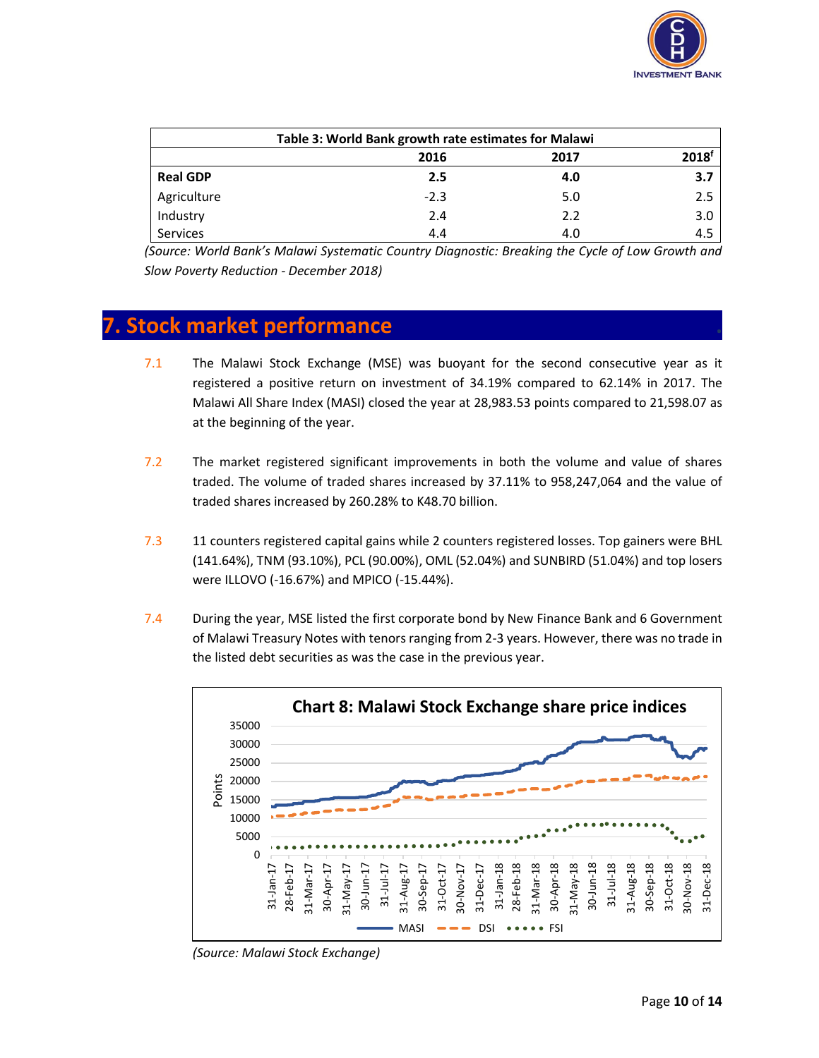

| Table 3: World Bank growth rate estimates for Malawi |        |      |          |
|------------------------------------------------------|--------|------|----------|
|                                                      | 2016   | 2017 | $2018^t$ |
| <b>Real GDP</b>                                      | 2.5    | 4.0  | 3.7      |
| Agriculture                                          | $-2.3$ | 5.0  | 2.5      |
| Industry                                             | 2.4    | 2.2  | 3.0      |
| Services                                             | 4.4    | 4.0  | 4.5      |

*(Source: World Bank's Malawi Systematic Country Diagnostic: Breaking the Cycle of Low Growth and Slow Poverty Reduction - December 2018)*

#### **7. Stock market performance .**

- 7.1 The Malawi Stock Exchange (MSE) was buoyant for the second consecutive year as it registered a positive return on investment of 34.19% compared to 62.14% in 2017. The Malawi All Share Index (MASI) closed the year at 28,983.53 points compared to 21,598.07 as at the beginning of the year.
- 7.2 The market registered significant improvements in both the volume and value of shares traded. The volume of traded shares increased by 37.11% to 958,247,064 and the value of traded shares increased by 260.28% to K48.70 billion.
- 7.3 11 counters registered capital gains while 2 counters registered losses. Top gainers were BHL (141.64%), TNM (93.10%), PCL (90.00%), OML (52.04%) and SUNBIRD (51.04%) and top losers were ILLOVO (-16.67%) and MPICO (-15.44%).
- 7.4 During the year, MSE listed the first corporate bond by New Finance Bank and 6 Government of Malawi Treasury Notes with tenors ranging from 2-3 years. However, there was no trade in the listed debt securities as was the case in the previous year.



*(Source: Malawi Stock Exchange)*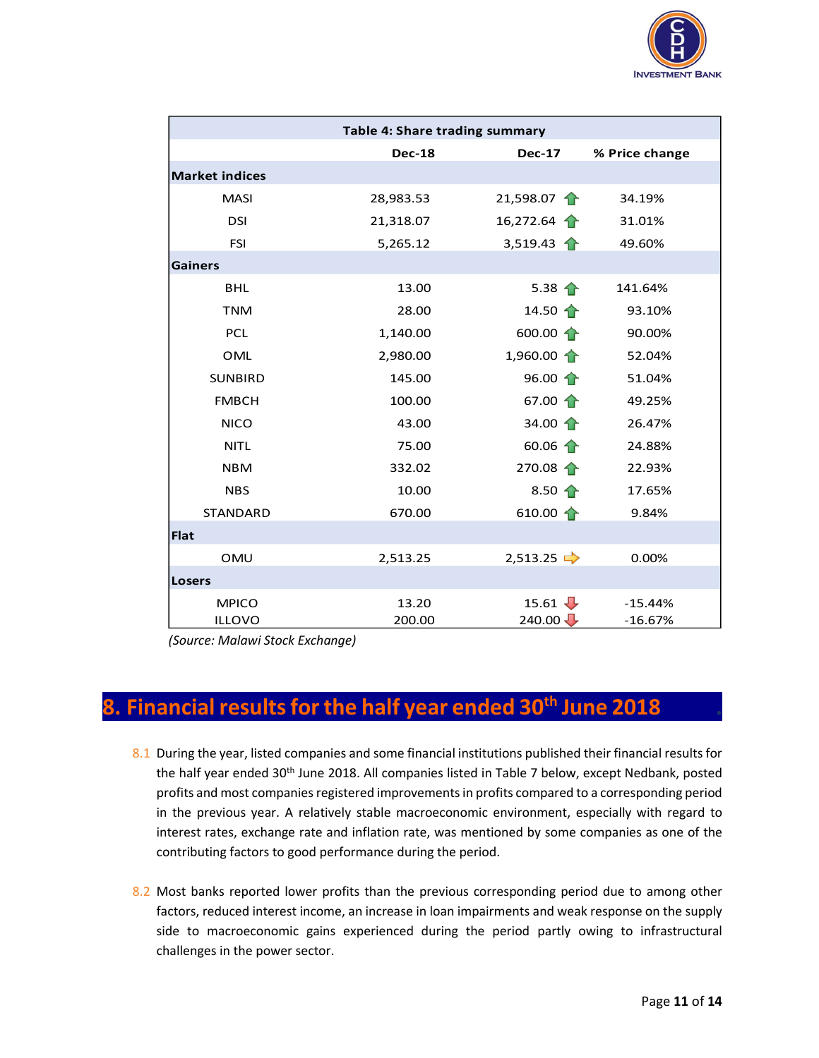

| Table 4: Share trading summary |                 |                                   |                        |
|--------------------------------|-----------------|-----------------------------------|------------------------|
|                                | <b>Dec-18</b>   | <b>Dec-17</b>                     | % Price change         |
| <b>Market indices</b>          |                 |                                   |                        |
| <b>MASI</b>                    | 28,983.53       | 21,598.07 $\uparrow$              | 34.19%                 |
| <b>DSI</b>                     | 21,318.07       | 16,272.64 $\uparrow$              | 31.01%                 |
| <b>FSI</b>                     | 5,265.12        | 3,519.43 $\uparrow$               | 49.60%                 |
| <b>Gainers</b>                 |                 |                                   |                        |
| <b>BHL</b>                     | 13.00           | 5.38 $\hat{\textbf{T}}$           | 141.64%                |
| <b>TNM</b>                     | 28.00           | 14.50 $\uparrow$                  | 93.10%                 |
| <b>PCL</b>                     | 1,140.00        | 600.00 $\uparrow$                 | 90.00%                 |
| <b>OML</b>                     | 2,980.00        | $1,960.00 \uparrow$               | 52.04%                 |
| <b>SUNBIRD</b>                 | 145.00          | 96.00 $\uparrow$                  | 51.04%                 |
| <b>FMBCH</b>                   | 100.00          | 67.00 $\uparrow$                  | 49.25%                 |
| <b>NICO</b>                    | 43.00           | 34.00 $\uparrow$                  | 26.47%                 |
| <b>NITL</b>                    | 75.00           | 60.06 $\uparrow$                  | 24.88%                 |
| <b>NBM</b>                     | 332.02          | $270.08 \uparrow$                 | 22.93%                 |
| <b>NBS</b>                     | 10.00           | 8.50 $\uparrow$                   | 17.65%                 |
| <b>STANDARD</b>                | 670.00          | 610.00 $\uparrow$                 | 9.84%                  |
| <b>Flat</b>                    |                 |                                   |                        |
| <b>OMU</b>                     | 2,513.25        | 2,513.25                          | 0.00%                  |
| <b>Losers</b>                  |                 |                                   |                        |
| <b>MPICO</b><br><b>ILLOVO</b>  | 13.20<br>200.00 | 15.61 $\frac{1}{2}$<br>$240.00 -$ | $-15.44%$<br>$-16.67%$ |

*(Source: Malawi Stock Exchange)*

## **8. Financial results for the half year ended 30th June 2018 .**

- 8.1 During the year, listed companies and some financial institutions published their financial results for the half year ended 30<sup>th</sup> June 2018. All companies listed in Table 7 below, except Nedbank, posted profits and most companies registered improvements in profits compared to a corresponding period in the previous year. A relatively stable macroeconomic environment, especially with regard to interest rates, exchange rate and inflation rate, was mentioned by some companies as one of the contributing factors to good performance during the period.
- 8.2 Most banks reported lower profits than the previous corresponding period due to among other factors, reduced interest income, an increase in loan impairments and weak response on the supply side to macroeconomic gains experienced during the period partly owing to infrastructural challenges in the power sector.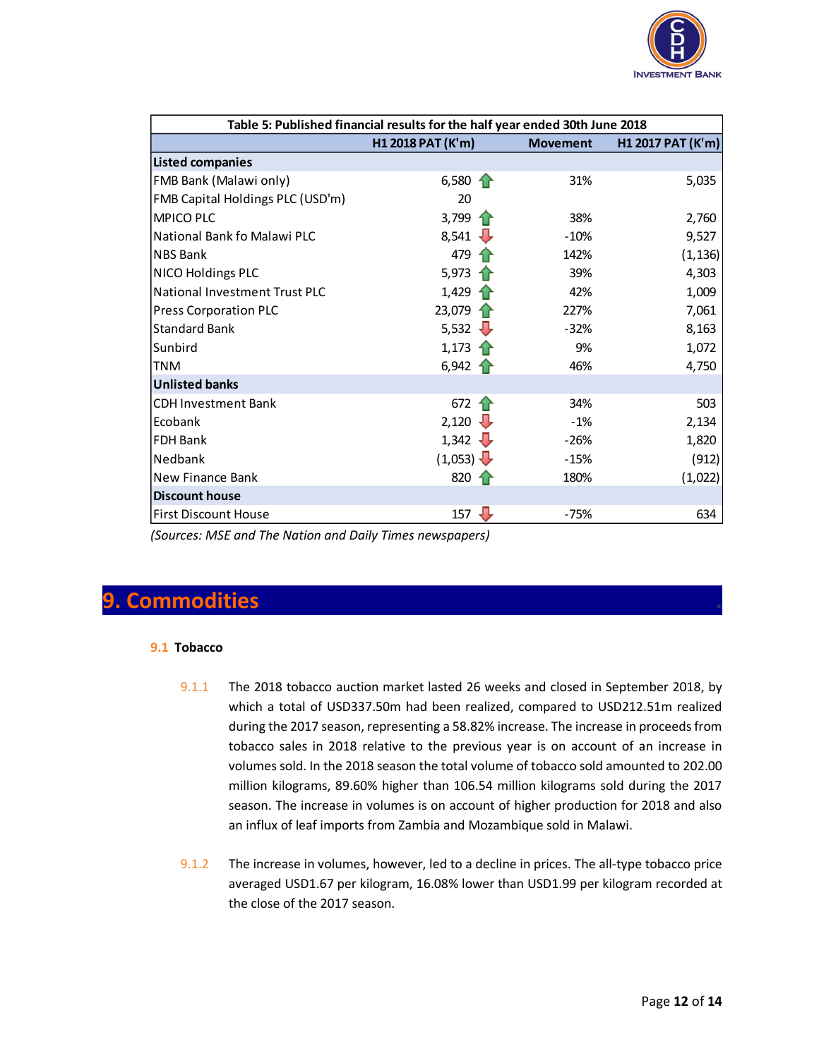

| Table 5: Published financial results for the half year ended 30th June 2018 |                    |                 |                   |  |
|-----------------------------------------------------------------------------|--------------------|-----------------|-------------------|--|
|                                                                             | H1 2018 PAT (K'm)  | <b>Movement</b> | H1 2017 PAT (K'm) |  |
| <b>Listed companies</b>                                                     |                    |                 |                   |  |
| FMB Bank (Malawi only)                                                      | 6,580 $\uparrow$   | 31%             | 5,035             |  |
| FMB Capital Holdings PLC (USD'm)                                            | 20                 |                 |                   |  |
| <b>MPICO PLC</b>                                                            | 3,799 $\uparrow$   | 38%             | 2,760             |  |
| National Bank fo Malawi PLC                                                 | $8,541 \downarrow$ | $-10%$          | 9,527             |  |
| <b>NBS Bank</b>                                                             | 479 $\uparrow$     | 142%            | (1, 136)          |  |
| <b>NICO Holdings PLC</b>                                                    | 5,973 $\uparrow$   | 39%             | 4,303             |  |
| <b>National Investment Trust PLC</b>                                        | $1,429$ 1          | 42%             | 1,009             |  |
| <b>Press Corporation PLC</b>                                                | $23,079$ 1         | 227%            | 7,061             |  |
| <b>Standard Bank</b>                                                        | 5,532 $\sqrt{ }$   | $-32%$          | 8,163             |  |
| Sunbird                                                                     | $1,173$ $\uparrow$ | 9%              | 1,072             |  |
| <b>TNM</b>                                                                  | $6,942 \uparrow$   | 46%             | 4,750             |  |
| <b>Unlisted banks</b>                                                       |                    |                 |                   |  |
| <b>CDH Investment Bank</b>                                                  | 672<br>10          | 34%             | 503               |  |
| Ecobank                                                                     | 2,120              | $-1%$           | 2,134             |  |
| <b>FDH Bank</b>                                                             | 1,342              | $-26%$          | 1,820             |  |
| Nedbank                                                                     | (1,053)            | $-15%$          | (912)             |  |
| New Finance Bank                                                            | 820 $\uparrow$     | 180%            | (1,022)           |  |
| <b>Discount house</b>                                                       |                    |                 |                   |  |
| <b>First Discount House</b>                                                 | 157<br>J           | $-75%$          | 634               |  |

*(Sources: MSE and The Nation and Daily Times newspapers)*

#### **9. Commodities .**

#### **9.1 Tobacco**

- 9.1.1 The 2018 tobacco auction market lasted 26 weeks and closed in September 2018, by which a total of USD337.50m had been realized, compared to USD212.51m realized during the 2017 season, representing a 58.82% increase. The increase in proceeds from tobacco sales in 2018 relative to the previous year is on account of an increase in volumes sold. In the 2018 season the total volume of tobacco sold amounted to 202.00 million kilograms, 89.60% higher than 106.54 million kilograms sold during the 2017 season. The increase in volumes is on account of higher production for 2018 and also an influx of leaf imports from Zambia and Mozambique sold in Malawi.
- 9.1.2 The increase in volumes, however, led to a decline in prices. The all-type tobacco price averaged USD1.67 per kilogram, 16.08% lower than USD1.99 per kilogram recorded at the close of the 2017 season.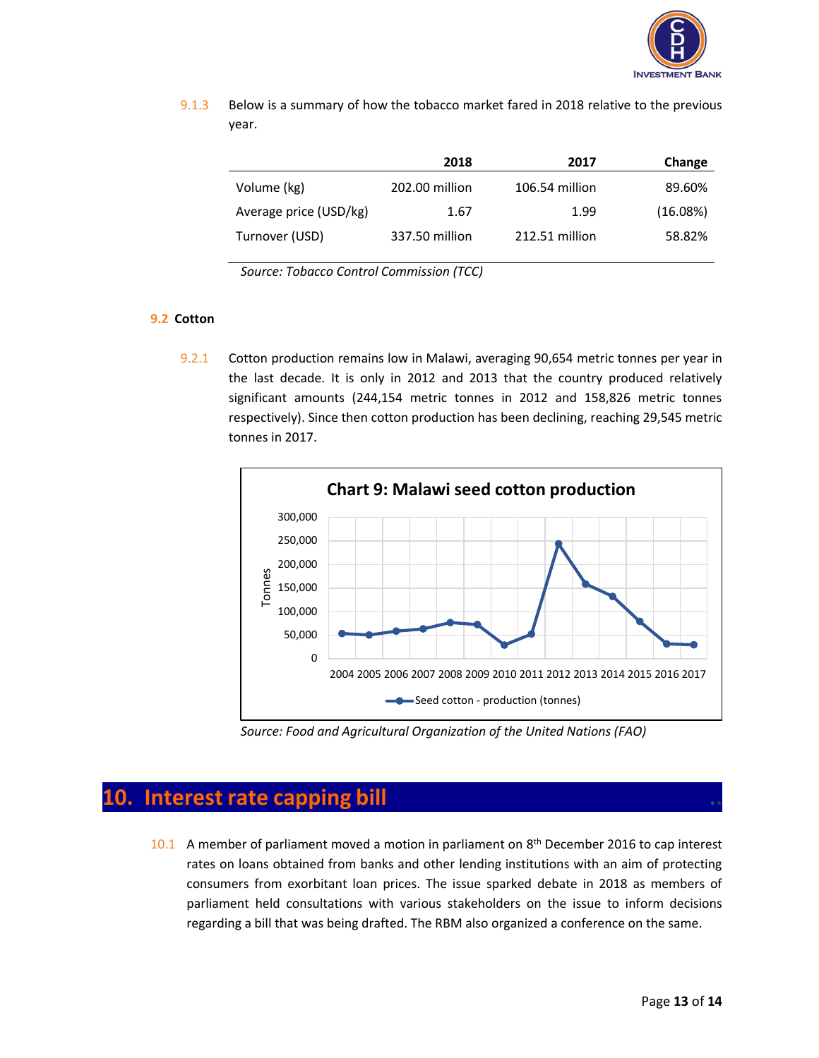

9.1.3 Below is a summary of how the tobacco market fared in 2018 relative to the previous year.

|                        | 2018           | 2017           | Change   |
|------------------------|----------------|----------------|----------|
| Volume (kg)            | 202.00 million | 106.54 million | 89.60%   |
| Average price (USD/kg) | 1.67           | 1.99           | (16.08%) |
| Turnover (USD)         | 337.50 million | 212.51 million | 58.82%   |

*Source: Tobacco Control Commission (TCC)*

#### **9.2 Cotton**

9.2.1 Cotton production remains low in Malawi, averaging 90,654 metric tonnes per year in the last decade. It is only in 2012 and 2013 that the country produced relatively significant amounts (244,154 metric tonnes in 2012 and 158,826 metric tonnes respectively). Since then cotton production has been declining, reaching 29,545 metric tonnes in 2017.



*Source: Food and Agricultural Organization of the United Nations (FAO)*

### **10.** Interest rate capping bill

10.1 A member of parliament moved a motion in parliament on  $8<sup>th</sup>$  December 2016 to cap interest rates on loans obtained from banks and other lending institutions with an aim of protecting consumers from exorbitant loan prices. The issue sparked debate in 2018 as members of parliament held consultations with various stakeholders on the issue to inform decisions regarding a bill that was being drafted. The RBM also organized a conference on the same.